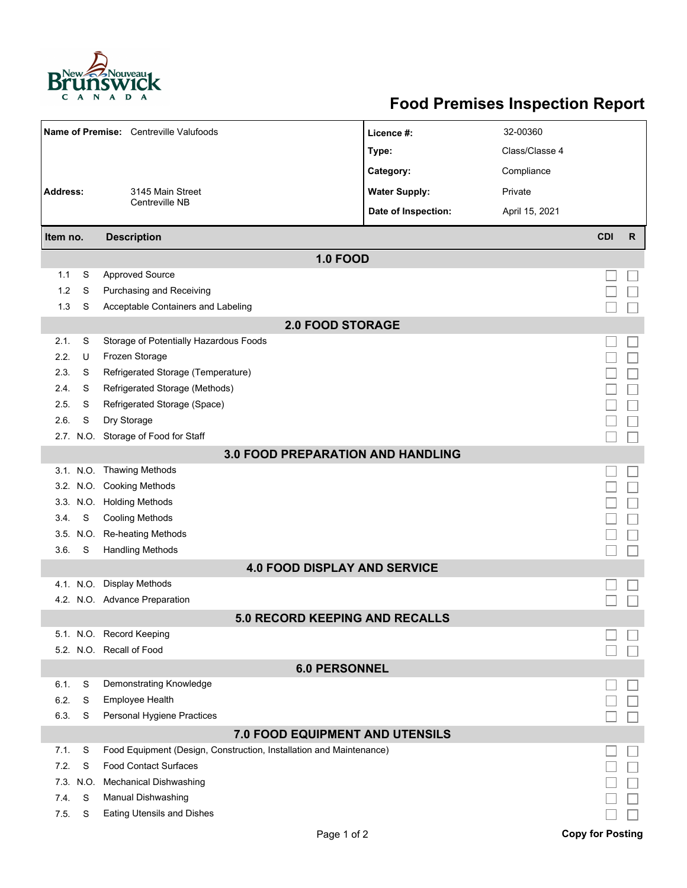

## **Food Premises Inspection Report**

|                                        |           |                                                                     |                      | 32-00360       |                         |              |  |  |  |  |  |  |
|----------------------------------------|-----------|---------------------------------------------------------------------|----------------------|----------------|-------------------------|--------------|--|--|--|--|--|--|
| Name of Premise: Centreville Valufoods |           |                                                                     | Licence #:           |                |                         |              |  |  |  |  |  |  |
|                                        |           |                                                                     | Type:                | Class/Classe 4 |                         |              |  |  |  |  |  |  |
|                                        |           |                                                                     | Category:            | Compliance     |                         |              |  |  |  |  |  |  |
| Address:<br>3145 Main Street           |           |                                                                     | <b>Water Supply:</b> | Private        |                         |              |  |  |  |  |  |  |
|                                        |           | Centreville NB                                                      | Date of Inspection:  | April 15, 2021 |                         |              |  |  |  |  |  |  |
| Item no.                               |           | <b>Description</b>                                                  |                      |                | <b>CDI</b>              | $\mathsf{R}$ |  |  |  |  |  |  |
| <b>1.0 FOOD</b>                        |           |                                                                     |                      |                |                         |              |  |  |  |  |  |  |
| 1.1                                    | S         | <b>Approved Source</b>                                              |                      |                |                         |              |  |  |  |  |  |  |
| 1.2                                    | S         | Purchasing and Receiving                                            |                      |                |                         |              |  |  |  |  |  |  |
| 1.3                                    | S         | Acceptable Containers and Labeling                                  |                      |                |                         |              |  |  |  |  |  |  |
| <b>2.0 FOOD STORAGE</b>                |           |                                                                     |                      |                |                         |              |  |  |  |  |  |  |
| 2.1.                                   | S         | Storage of Potentially Hazardous Foods                              |                      |                |                         |              |  |  |  |  |  |  |
| 2.2.                                   | U         | Frozen Storage                                                      |                      |                |                         |              |  |  |  |  |  |  |
| 2.3.                                   | S         | Refrigerated Storage (Temperature)                                  |                      |                |                         |              |  |  |  |  |  |  |
| 2.4.                                   | S         | Refrigerated Storage (Methods)                                      |                      |                |                         |              |  |  |  |  |  |  |
| 2.5.                                   | S         | Refrigerated Storage (Space)                                        |                      |                |                         |              |  |  |  |  |  |  |
| 2.6.                                   | S         | Dry Storage                                                         |                      |                |                         |              |  |  |  |  |  |  |
|                                        |           | 2.7. N.O. Storage of Food for Staff                                 |                      |                |                         |              |  |  |  |  |  |  |
| 3.0 FOOD PREPARATION AND HANDLING      |           |                                                                     |                      |                |                         |              |  |  |  |  |  |  |
|                                        |           | 3.1. N.O. Thawing Methods                                           |                      |                |                         |              |  |  |  |  |  |  |
|                                        |           | 3.2. N.O. Cooking Methods                                           |                      |                |                         |              |  |  |  |  |  |  |
|                                        |           | 3.3. N.O. Holding Methods                                           |                      |                |                         |              |  |  |  |  |  |  |
| 3.4.                                   | S         | <b>Cooling Methods</b>                                              |                      |                |                         |              |  |  |  |  |  |  |
|                                        | 3.5. N.O. | Re-heating Methods                                                  |                      |                |                         |              |  |  |  |  |  |  |
| 3.6.                                   | S         | <b>Handling Methods</b>                                             |                      |                |                         |              |  |  |  |  |  |  |
|                                        |           | <b>4.0 FOOD DISPLAY AND SERVICE</b>                                 |                      |                |                         |              |  |  |  |  |  |  |
|                                        |           | 4.1. N.O. Display Methods                                           |                      |                |                         |              |  |  |  |  |  |  |
|                                        |           | 4.2. N.O. Advance Preparation                                       |                      |                |                         |              |  |  |  |  |  |  |
|                                        |           | <b>5.0 RECORD KEEPING AND RECALLS</b>                               |                      |                |                         |              |  |  |  |  |  |  |
|                                        |           | 5.1. N.O. Record Keeping                                            |                      |                |                         |              |  |  |  |  |  |  |
|                                        |           | 5.2. N.O. Recall of Food                                            |                      |                |                         |              |  |  |  |  |  |  |
| <b>6.0 PERSONNEL</b>                   |           |                                                                     |                      |                |                         |              |  |  |  |  |  |  |
| 6.1.                                   | S         | Demonstrating Knowledge                                             |                      |                |                         |              |  |  |  |  |  |  |
| 6.2.                                   | S         | Employee Health                                                     |                      |                |                         |              |  |  |  |  |  |  |
| 6.3.                                   | S         | Personal Hygiene Practices                                          |                      |                |                         |              |  |  |  |  |  |  |
|                                        |           | 7.0 FOOD EQUIPMENT AND UTENSILS                                     |                      |                |                         |              |  |  |  |  |  |  |
| 7.1.                                   | S         | Food Equipment (Design, Construction, Installation and Maintenance) |                      |                |                         |              |  |  |  |  |  |  |
| 7.2.                                   | S         | <b>Food Contact Surfaces</b>                                        |                      |                |                         |              |  |  |  |  |  |  |
| 7.3.                                   | N.O.      | <b>Mechanical Dishwashing</b>                                       |                      |                |                         |              |  |  |  |  |  |  |
| 7.4.                                   | S         | Manual Dishwashing                                                  |                      |                |                         |              |  |  |  |  |  |  |
| 7.5.                                   | S         | <b>Eating Utensils and Dishes</b>                                   |                      |                |                         |              |  |  |  |  |  |  |
|                                        |           | Page 1 of 2                                                         |                      |                | <b>Copy for Posting</b> |              |  |  |  |  |  |  |